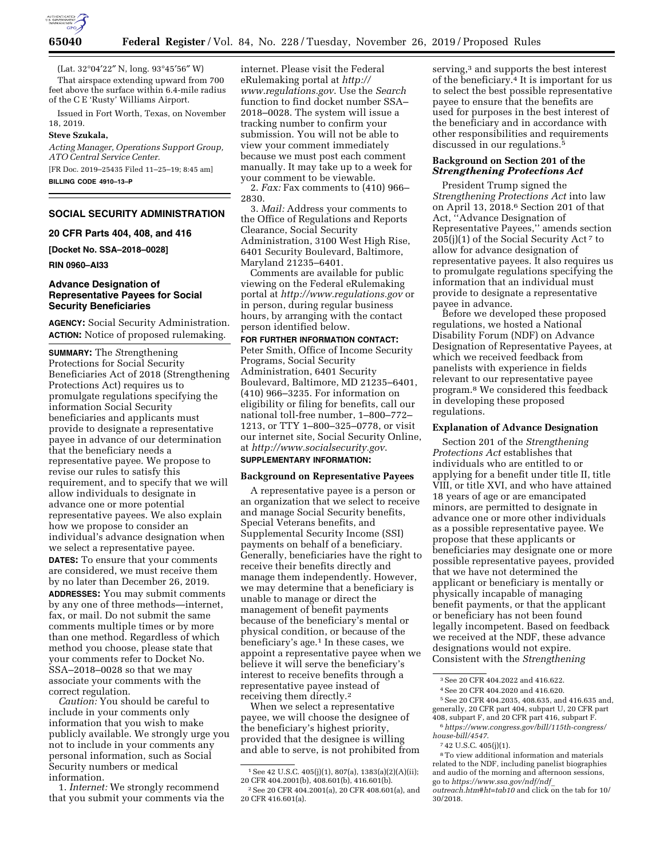

(Lat. 32°04′22″ N, long. 93°45′56″ W)

That airspace extending upward from 700 feet above the surface within 6.4-mile radius of the C E 'Rusty' Williams Airport.

Issued in Fort Worth, Texas, on November 18, 2019.

## **Steve Szukala,**

*Acting Manager, Operations Support Group, ATO Central Service Center.*  [FR Doc. 2019–25435 Filed 11–25–19; 8:45 am]

**BILLING CODE 4910–13–P** 

# **SOCIAL SECURITY ADMINISTRATION**

### **20 CFR Parts 404, 408, and 416**

**[Docket No. SSA–2018–0028]** 

**RIN 0960–AI33** 

## **Advance Designation of Representative Payees for Social Security Beneficiaries**

**AGENCY:** Social Security Administration. **ACTION:** Notice of proposed rulemaking.

**SUMMARY:** The *S*trengthening Protections for Social Security Beneficiaries Act of 2018 (Strengthening Protections Act) requires us to promulgate regulations specifying the information Social Security beneficiaries and applicants must provide to designate a representative payee in advance of our determination that the beneficiary needs a representative payee. We propose to revise our rules to satisfy this requirement, and to specify that we will allow individuals to designate in advance one or more potential representative payees. We also explain how we propose to consider an individual's advance designation when we select a representative payee.

**DATES:** To ensure that your comments are considered, we must receive them by no later than December 26, 2019. **ADDRESSES:** You may submit comments by any one of three methods—internet, fax, or mail. Do not submit the same comments multiple times or by more than one method. Regardless of which method you choose, please state that your comments refer to Docket No. SSA–2018–0028 so that we may associate your comments with the correct regulation.

*Caution:* You should be careful to include in your comments only information that you wish to make publicly available. We strongly urge you not to include in your comments any personal information, such as Social Security numbers or medical information.

1. *Internet:* We strongly recommend that you submit your comments via the internet. Please visit the Federal eRulemaking portal at *[http://](http://www.regulations.gov) [www.regulations.gov](http://www.regulations.gov)*. Use the *Search*  function to find docket number SSA– 2018–0028. The system will issue a tracking number to confirm your submission. You will not be able to view your comment immediately because we must post each comment manually. It may take up to a week for your comment to be viewable.

2. *Fax:* Fax comments to (410) 966– 2830.

3. *Mail:* Address your comments to the Office of Regulations and Reports Clearance, Social Security Administration, 3100 West High Rise, 6401 Security Boulevard, Baltimore, Maryland 21235–6401.

Comments are available for public viewing on the Federal eRulemaking portal at *<http://www.regulations.gov>* or in person, during regular business hours, by arranging with the contact person identified below.

**FOR FURTHER INFORMATION CONTACT:**  Peter Smith, Office of Income Security Programs, Social Security Administration, 6401 Security Boulevard, Baltimore, MD 21235–6401, (410) 966–3235. For information on eligibility or filing for benefits, call our national toll-free number, 1–800–772– 1213, or TTY 1–800–325–0778, or visit our internet site, Social Security Online, at *<http://www.socialsecurity.gov>*.

# **SUPPLEMENTARY INFORMATION:**

# **Background on Representative Payees**

A representative payee is a person or an organization that we select to receive and manage Social Security benefits, Special Veterans benefits, and Supplemental Security Income (SSI) payments on behalf of a beneficiary. Generally, beneficiaries have the right to receive their benefits directly and manage them independently. However, we may determine that a beneficiary is unable to manage or direct the management of benefit payments because of the beneficiary's mental or physical condition, or because of the beneficiary's age.1 In these cases, we appoint a representative payee when we believe it will serve the beneficiary's interest to receive benefits through a representative payee instead of receiving them directly.2

When we select a representative payee, we will choose the designee of the beneficiary's highest priority, provided that the designee is willing and able to serve, is not prohibited from serving,<sup>3</sup> and supports the best interest of the beneficiary.4 It is important for us to select the best possible representative payee to ensure that the benefits are used for purposes in the best interest of the beneficiary and in accordance with other responsibilities and requirements discussed in our regulations.5

# **Background on Section 201 of the**  *Strengthening Protections Act*

President Trump signed the *Strengthening Protections Act* into law on April 13, 2018.6 Section 201 of that Act, ''Advance Designation of Representative Payees,'' amends section 205(j)(1) of the Social Security Act<sup>7</sup> to allow for advance designation of representative payees. It also requires us to promulgate regulations specifying the information that an individual must provide to designate a representative payee in advance.

Before we developed these proposed regulations, we hosted a National Disability Forum (NDF) on Advance Designation of Representative Payees, at which we received feedback from panelists with experience in fields relevant to our representative payee program.8 We considered this feedback in developing these proposed regulations.

### **Explanation of Advance Designation**

Section 201 of the *Strengthening Protections Act* establishes that individuals who are entitled to or applying for a benefit under title II, title VIII, or title XVI, and who have attained 18 years of age or are emancipated minors, are permitted to designate in advance one or more other individuals as a possible representative payee. We propose that these applicants or beneficiaries may designate one or more possible representative payees, provided that we have not determined the applicant or beneficiary is mentally or physically incapable of managing benefit payments, or that the applicant or beneficiary has not been found legally incompetent. Based on feedback we received at the NDF, these advance designations would not expire. Consistent with the *Strengthening* 

5See 20 CFR 404.2035, 408.635, and 416.635 and, generally, 20 CFR part 404, subpart U, 20 CFR part 408, subpart F, and 20 CFR part 416, subpart F.

<sup>1</sup>See 42 U.S.C. 405(j)(1), 807(a), 1383(a)(2)(A)(ii); 20 CFR 404.2001(b), 408.601(b), 416.601(b).

<sup>2</sup>See 20 CFR 404.2001(a), 20 CFR 408.601(a), and 20 CFR 416.601(a).

<sup>3</sup>See 20 CFR 404.2022 and 416.622.

<sup>4</sup>See 20 CFR 404.2020 and 416.620.

<sup>6</sup>*[https://www.congress.gov/bill/115th-congress/](https://www.congress.gov/bill/115th-congress/house-bill/4547) [house-bill/4547](https://www.congress.gov/bill/115th-congress/house-bill/4547)*.

<sup>7</sup> 42 U.S.C. 405(j)(1).

<sup>8</sup>To view additional information and materials related to the NDF, including panelist biographies and audio of the morning and afternoon sessions, go to *[https://www.ssa.gov/ndf/ndf](https://www.ssa.gov/ndf/ndf_outreach.htm#ht=tab10)*\_ *[outreach.htm#ht=tab10](https://www.ssa.gov/ndf/ndf_outreach.htm#ht=tab10)* and click on the tab for 10/ 30/2018.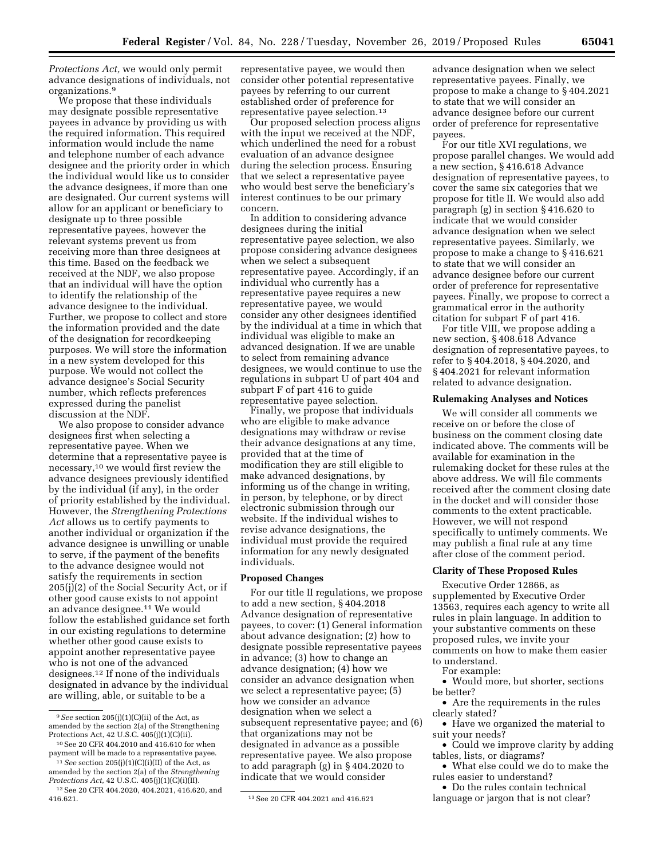*Protections Act,* we would only permit advance designations of individuals, not organizations.9

We propose that these individuals may designate possible representative payees in advance by providing us with the required information. This required information would include the name and telephone number of each advance designee and the priority order in which the individual would like us to consider the advance designees, if more than one are designated. Our current systems will allow for an applicant or beneficiary to designate up to three possible representative payees, however the relevant systems prevent us from receiving more than three designees at this time. Based on the feedback we received at the NDF, we also propose that an individual will have the option to identify the relationship of the advance designee to the individual. Further, we propose to collect and store the information provided and the date of the designation for recordkeeping purposes. We will store the information in a new system developed for this purpose. We would not collect the advance designee's Social Security number, which reflects preferences expressed during the panelist discussion at the NDF.

We also propose to consider advance designees first when selecting a representative payee. When we determine that a representative payee is necessary,10 we would first review the advance designees previously identified by the individual (if any), in the order of priority established by the individual. However, the *Strengthening Protections Act* allows us to certify payments to another individual or organization if the advance designee is unwilling or unable to serve, if the payment of the benefits to the advance designee would not satisfy the requirements in section 205(j)(2) of the Social Security Act, or if other good cause exists to not appoint an advance designee.11 We would follow the established guidance set forth in our existing regulations to determine whether other good cause exists to appoint another representative payee who is not one of the advanced designees.12 If none of the individuals designated in advance by the individual are willing, able, or suitable to be a

representative payee, we would then consider other potential representative payees by referring to our current established order of preference for representative payee selection.13

Our proposed selection process aligns with the input we received at the NDF, which underlined the need for a robust evaluation of an advance designee during the selection process. Ensuring that we select a representative payee who would best serve the beneficiary's interest continues to be our primary concern.

In addition to considering advance designees during the initial representative payee selection, we also propose considering advance designees when we select a subsequent representative payee. Accordingly, if an individual who currently has a representative payee requires a new representative payee, we would consider any other designees identified by the individual at a time in which that individual was eligible to make an advanced designation. If we are unable to select from remaining advance designees, we would continue to use the regulations in subpart U of part 404 and subpart F of part 416 to guide representative payee selection.

Finally, we propose that individuals who are eligible to make advance designations may withdraw or revise their advance designations at any time, provided that at the time of modification they are still eligible to make advanced designations, by informing us of the change in writing, in person, by telephone, or by direct electronic submission through our website. If the individual wishes to revise advance designations, the individual must provide the required information for any newly designated individuals.

### **Proposed Changes**

For our title II regulations, we propose to add a new section, § 404.2018 Advance designation of representative payees, to cover: (1) General information about advance designation; (2) how to designate possible representative payees in advance; (3) how to change an advance designation; (4) how we consider an advance designation when we select a representative payee; (5) how we consider an advance designation when we select a subsequent representative payee; and (6) that organizations may not be designated in advance as a possible representative payee. We also propose to add paragraph (g) in § 404.2020 to indicate that we would consider

advance designation when we select representative payees. Finally, we propose to make a change to § 404.2021 to state that we will consider an advance designee before our current order of preference for representative payees.

For our title XVI regulations, we propose parallel changes. We would add a new section, § 416.618 Advance designation of representative payees, to cover the same six categories that we propose for title II. We would also add paragraph (g) in section § 416.620 to indicate that we would consider advance designation when we select representative payees. Similarly, we propose to make a change to § 416.621 to state that we will consider an advance designee before our current order of preference for representative payees. Finally, we propose to correct a grammatical error in the authority citation for subpart F of part 416.

For title VIII, we propose adding a new section, § 408.618 Advance designation of representative payees, to refer to § 404.2018, § 404.2020, and § 404.2021 for relevant information related to advance designation.

# **Rulemaking Analyses and Notices**

We will consider all comments we receive on or before the close of business on the comment closing date indicated above. The comments will be available for examination in the rulemaking docket for these rules at the above address. We will file comments received after the comment closing date in the docket and will consider those comments to the extent practicable. However, we will not respond specifically to untimely comments. We may publish a final rule at any time after close of the comment period.

### **Clarity of These Proposed Rules**

Executive Order 12866, as supplemented by Executive Order 13563, requires each agency to write all rules in plain language. In addition to your substantive comments on these proposed rules, we invite your comments on how to make them easier to understand.

For example:

• Would more, but shorter, sections be better?

• Are the requirements in the rules clearly stated?

• Have we organized the material to suit your needs?

• Could we improve clarity by adding tables, lists, or diagrams?

• What else could we do to make the rules easier to understand?

• Do the rules contain technical language or jargon that is not clear?

<sup>9</sup>*See* section 205(j)(1)(C)(ii) of the Act, as amended by the section 2(a) of the Strengthening Protections Act, 42 U.S.C. 405(j)(1)(C)(ii).

<sup>10</sup>See 20 CFR 404.2010 and 416.610 for when payment will be made to a representative payee. 11*See* section 205(j)(1)(C)(i)(II) of the Act, as

amended by the section 2(a) of the *Strengthening Protections Act,* 42 U.S.C. 405(j)(1)(C)(i)(II). <sup>12</sup> See 20 CFR 404.2020, 404.2021, 416.620, and 416.621.

<sup>416.621. 13</sup>See 20 CFR 404.2021 and 416.621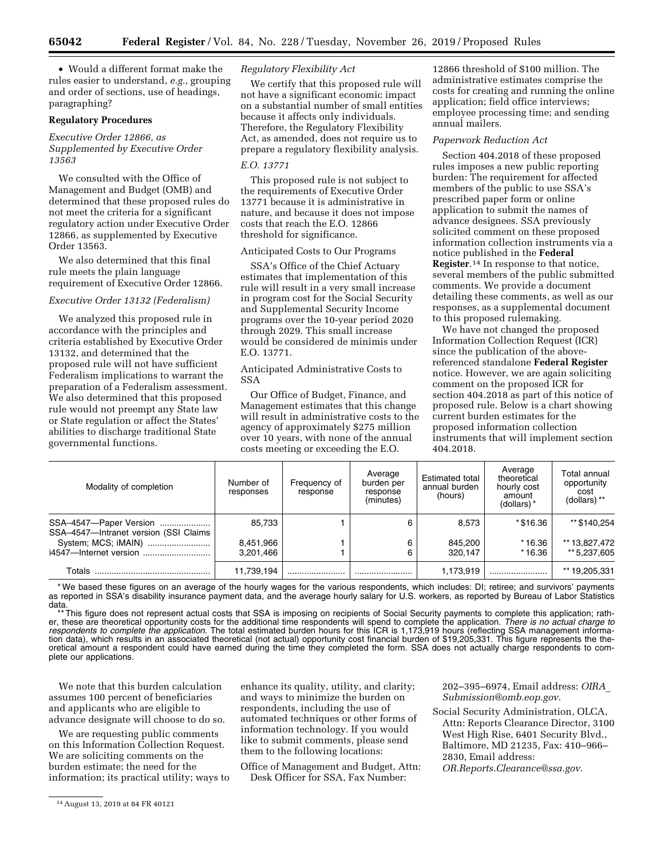• Would a different format make the rules easier to understand, *e.g.,* grouping and order of sections, use of headings, paragraphing?

### **Regulatory Procedures**

# *Executive Order 12866, as Supplemented by Executive Order 13563*

We consulted with the Office of Management and Budget (OMB) and determined that these proposed rules do not meet the criteria for a significant regulatory action under Executive Order 12866, as supplemented by Executive Order 13563.

We also determined that this final rule meets the plain language requirement of Executive Order 12866.

#### *Executive Order 13132 (Federalism)*

We analyzed this proposed rule in accordance with the principles and criteria established by Executive Order 13132, and determined that the proposed rule will not have sufficient Federalism implications to warrant the preparation of a Federalism assessment. We also determined that this proposed rule would not preempt any State law or State regulation or affect the States' abilities to discharge traditional State governmental functions.

## *Regulatory Flexibility Act*

We certify that this proposed rule will not have a significant economic impact on a substantial number of small entities because it affects only individuals. Therefore, the Regulatory Flexibility Act, as amended, does not require us to prepare a regulatory flexibility analysis.

# *E.O. 13771*

This proposed rule is not subject to the requirements of Executive Order 13771 because it is administrative in nature, and because it does not impose costs that reach the E.O. 12866 threshold for significance.

#### Anticipated Costs to Our Programs

SSA's Office of the Chief Actuary estimates that implementation of this rule will result in a very small increase in program cost for the Social Security and Supplemental Security Income programs over the 10-year period 2020 through 2029. This small increase would be considered de minimis under E.O. 13771.

## Anticipated Administrative Costs to SSA

Our Office of Budget, Finance, and Management estimates that this change will result in administrative costs to the agency of approximately \$275 million over 10 years, with none of the annual costs meeting or exceeding the E.O.

12866 threshold of \$100 million. The administrative estimates comprise the costs for creating and running the online application; field office interviews; employee processing time; and sending annual mailers.

#### *Paperwork Reduction Act*

Section 404.2018 of these proposed rules imposes a new public reporting burden: The requirement for affected members of the public to use SSA's prescribed paper form or online application to submit the names of advance designees. SSA previously solicited comment on these proposed information collection instruments via a notice published in the **Federal Register**.14 In response to that notice, several members of the public submitted comments. We provide a document detailing these comments, as well as our responses, as a supplemental document to this proposed rulemaking.

We have not changed the proposed Information Collection Request (ICR) since the publication of the abovereferenced standalone **Federal Register**  notice. However, we are again soliciting comment on the proposed ICR for section 404.2018 as part of this notice of proposed rule. Below is a chart showing current burden estimates for the proposed information collection instruments that will implement section 404.2018.

| Modality of completion                                          | Number of<br>responses | Frequency of<br>response | Average<br>burden per<br>response<br>(minutes) | <b>Estimated total</b><br>annual burden<br>(hours) | Average<br>theoretical<br>hourly cost<br>amount<br>(dollars)* | Total annual<br>opportunity<br>cost<br>(dollars) ** |
|-----------------------------------------------------------------|------------------------|--------------------------|------------------------------------------------|----------------------------------------------------|---------------------------------------------------------------|-----------------------------------------------------|
| SSA-4547-Paper Version<br>SSA-4547-Intranet version (SSI Claims | 85.733                 |                          | 6                                              | 8,573                                              | *\$16.36                                                      | ** \$140.254                                        |
|                                                                 | 8,451,966              |                          | 6                                              | 845.200                                            | $*16.36$                                                      | ** 13,827,472                                       |
| i4547-Internet version                                          | 3.201.466              |                          |                                                | 320.147                                            | $*16.36$                                                      | ** 5.237.605                                        |
| Totals                                                          | 11,739,194             |                          |                                                | 1,173,919                                          |                                                               | ** 19,205,331                                       |

\* We based these figures on an average of the hourly wages for the various respondents, which includes: DI; retiree; and survivors' payments as reported in SSA's disability insurance payment data, and the average hourly salary for U.S. workers, as reported by Bureau of Labor Statistics data.

\*\* This figure does not represent actual costs that SSA is imposing on recipients of Social Security payments to complete this application; rather, these are theoretical opportunity costs for the additional time respondents will spend to complete the application. *There is no actual charge to*  respondents to complete the application. The total estimated burden hours for this ICR is 1,173,919 hours (reflecting SSA management information data), which results in an associated theoretical (not actual) opportunity cost financial burden of \$19,205,331. This figure represents the theoretical amount a respondent could have earned during the time they completed the form. SSA does not actually charge respondents to complete our applications.

We note that this burden calculation assumes 100 percent of beneficiaries and applicants who are eligible to advance designate will choose to do so.

We are requesting public comments on this Information Collection Request. We are soliciting comments on the burden estimate; the need for the information; its practical utility; ways to enhance its quality, utility, and clarity; and ways to minimize the burden on respondents, including the use of automated techniques or other forms of information technology. If you would like to submit comments, please send them to the following locations:

Office of Management and Budget, Attn: Desk Officer for SSA, Fax Number:

202–395–6974, Email address: *[OIRA](mailto:OIRA_Submission@omb.eop.gov)*\_ *[Submission@omb.eop.gov](mailto:OIRA_Submission@omb.eop.gov)*.

- Social Security Administration, OLCA, Attn: Reports Clearance Director, 3100 West High Rise, 6401 Security Blvd., Baltimore, MD 21235, Fax: 410–966– 2830, Email address:
	- *[OR.Reports.Clearance@ssa.gov](mailto:OR.Reports.Clearance@ssa.gov)*.

<sup>14</sup>August 13, 2019 at 84 FR 40121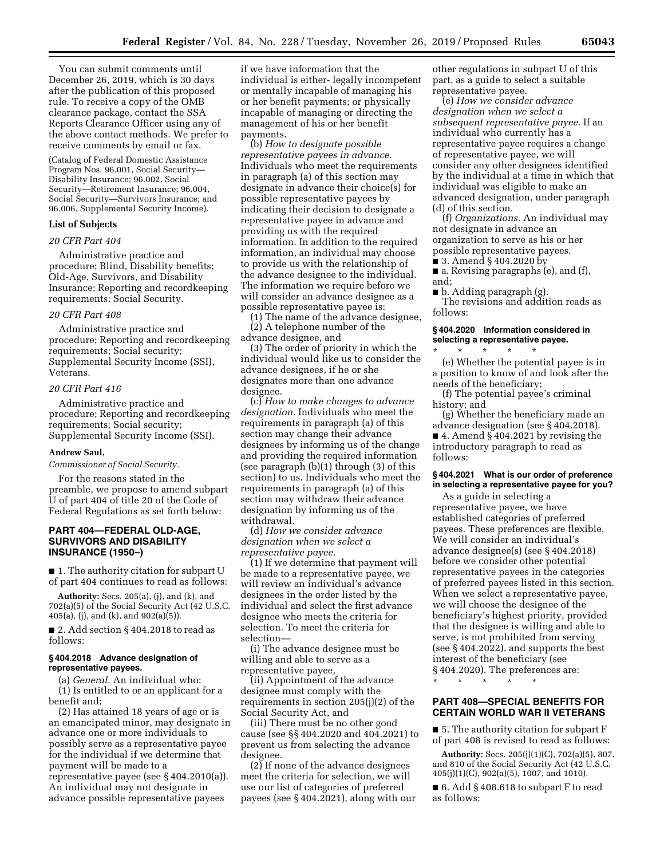You can submit comments until December 26, 2019, which is 30 days after the publication of this proposed rule. To receive a copy of the OMB clearance package, contact the SSA Reports Clearance Officer using any of the above contact methods. We prefer to receive comments by email or fax.

(Catalog of Federal Domestic Assistance Program Nos. 96.001, Social Security— Disability Insurance; 96.002, Social Security—Retirement Insurance; 96.004, Social Security—Survivors Insurance; and 96.006, Supplemental Security Income).

#### **List of Subjects**

#### *20 CFR Part 404*

Administrative practice and procedure; Blind, Disability benefits; Old-Age, Survivors, and Disability Insurance; Reporting and recordkeeping requirements; Social Security.

# *20 CFR Part 408*

Administrative practice and procedure; Reporting and recordkeeping requirements; Social security; Supplemental Security Income (SSI), Veterans.

#### *20 CFR Part 416*

Administrative practice and procedure; Reporting and recordkeeping requirements; Social security; Supplemental Security Income (SSI).

#### **Andrew Saul,**

*Commissioner of Social Security.* 

For the reasons stated in the preamble, we propose to amend subpart U of part 404 of title 20 of the Code of Federal Regulations as set forth below:

## **PART 404—FEDERAL OLD-AGE, SURVIVORS AND DISABILITY INSURANCE (1950–)**

■ 1. The authority citation for subpart U of part 404 continues to read as follows:

**Authority:** Secs. 205(a), (j), and (k), and 702(a)(5) of the Social Security Act (42 U.S.C. 405(a), (j), and (k), and 902(a)(5)).

 $\blacksquare$  2. Add section § 404.2018 to read as follows:

### **§ 404.2018 Advance designation of representative payees.**

(a) *General.* An individual who:

(1) Is entitled to or an applicant for a benefit and;

(2) Has attained 18 years of age or is an emancipated minor, may designate in advance one or more individuals to possibly serve as a representative payee for the individual if we determine that payment will be made to a representative payee (see § 404.2010(a)).

An individual may not designate in advance possible representative payees

if we have information that the individual is either- legally incompetent or mentally incapable of managing his or her benefit payments; or physically incapable of managing or directing the management of his or her benefit payments.

(b) *How to designate possible representative payees in advance.*  Individuals who meet the requirements in paragraph (a) of this section may designate in advance their choice(s) for possible representative payees by indicating their decision to designate a representative payee in advance and providing us with the required information. In addition to the required information, an individual may choose to provide us with the relationship of the advance designee to the individual. The information we require before we will consider an advance designee as a possible representative payee is:

(1) The name of the advance designee, (2) A telephone number of the advance designee, and

(3) The order of priority in which the individual would like us to consider the advance designees, if he or she designates more than one advance designee.

(c) *How to make changes to advance designation.* Individuals who meet the requirements in paragraph (a) of this section may change their advance designees by informing us of the change and providing the required information (see paragraph (b)(1) through (3) of this section) to us. Individuals who meet the requirements in paragraph (a) of this section may withdraw their advance designation by informing us of the withdrawal.

(d) *How we consider advance designation when we select a representative payee.* 

(1) If we determine that payment will be made to a representative payee, we will review an individual's advance designees in the order listed by the individual and select the first advance designee who meets the criteria for selection. To meet the criteria for selection—

(i) The advance designee must be willing and able to serve as a representative payee,

(ii) Appointment of the advance designee must comply with the requirements in section 205(j)(2) of the Social Security Act, and

(iii) There must be no other good cause (see §§ 404.2020 and 404.2021) to prevent us from selecting the advance designee.

(2) If none of the advance designees meet the criteria for selection, we will use our list of categories of preferred payees (see § 404.2021), along with our

other regulations in subpart U of this part, as a guide to select a suitable representative payee.

(e) *How we consider advance designation when we select a subsequent representative payee.* If an individual who currently has a representative payee requires a change of representative payee, we will consider any other designees identified by the individual at a time in which that individual was eligible to make an advanced designation, under paragraph (d) of this section.

(f) *Organizations.* An individual may not designate in advance an organization to serve as his or her possible representative payees.

 $\frac{1}{2}$  3. Amend § 404.2020 by

■ a. Revising paragraphs (e), and (f), and;

■ b. Adding paragraph (g). The revisions and addition reads as follows:

### **§ 404.2020 Information considered in selecting a representative payee.**

\* \* \* \* \* (e) Whether the potential payee is in a position to know of and look after the needs of the beneficiary;

(f) The potential payee's criminal history; and

(g) Whether the beneficiary made an advance designation (see § 404.2018). ■ 4. Amend § 404.2021 by revising the introductory paragraph to read as follows:

### **§ 404.2021 What is our order of preference in selecting a representative payee for you?**

As a guide in selecting a representative payee, we have established categories of preferred payees. These preferences are flexible. We will consider an individual's advance designee(s) (see § 404.2018) before we consider other potential representative payees in the categories of preferred payees listed in this section. When we select a representative payee, we will choose the designee of the beneficiary's highest priority, provided that the designee is willing and able to serve, is not prohibited from serving (see § 404.2022), and supports the best interest of the beneficiary (see § 404.2020). The preferences are:

\* \* \* \* \*

### **PART 408—SPECIAL BENEFITS FOR CERTAIN WORLD WAR II VETERANS**

■ 5. The authority citation for subpart F of part 408 is revised to read as follows:

**Authority:** Secs. 205(j)(1)(C), 702(a)(5), 807, and 810 of the Social Security Act (42 U.S.C. 405(j)(1)(C), 902(a)(5), 1007, and 1010).

■ 6. Add § 408.618 to subpart F to read as follows: